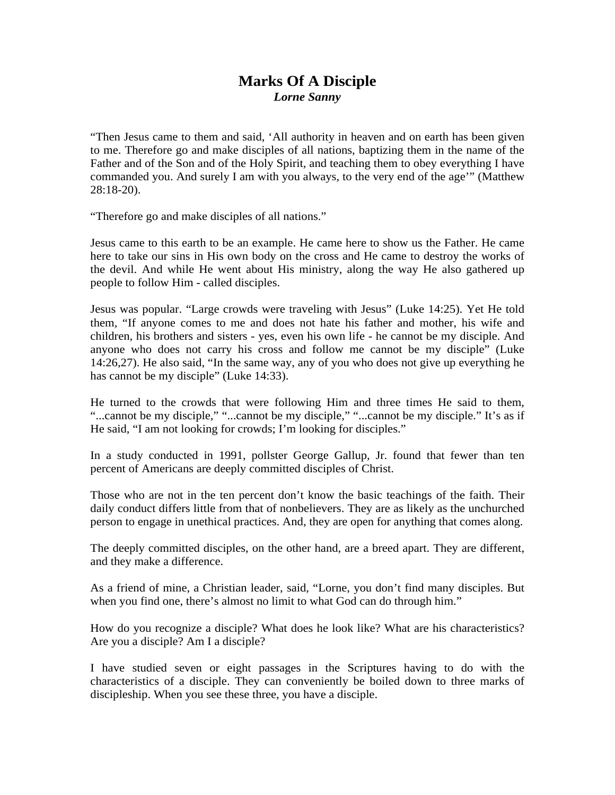# **Marks Of A Disciple**  *Lorne Sanny*

"Then Jesus came to them and said, 'All authority in heaven and on earth has been given to me. Therefore go and make disciples of all nations, baptizing them in the name of the Father and of the Son and of the Holy Spirit, and teaching them to obey everything I have commanded you. And surely I am with you always, to the very end of the age'" (Matthew 28:18-20).

"Therefore go and make disciples of all nations."

Jesus came to this earth to be an example. He came here to show us the Father. He came here to take our sins in His own body on the cross and He came to destroy the works of the devil. And while He went about His ministry, along the way He also gathered up people to follow Him - called disciples.

Jesus was popular. "Large crowds were traveling with Jesus" (Luke 14:25). Yet He told them, "If anyone comes to me and does not hate his father and mother, his wife and children, his brothers and sisters - yes, even his own life - he cannot be my disciple. And anyone who does not carry his cross and follow me cannot be my disciple" (Luke 14:26,27). He also said, "In the same way, any of you who does not give up everything he has cannot be my disciple" (Luke 14:33).

He turned to the crowds that were following Him and three times He said to them, "...cannot be my disciple," "...cannot be my disciple," "...cannot be my disciple." It's as if He said, "I am not looking for crowds; I'm looking for disciples."

In a study conducted in 1991, pollster George Gallup, Jr. found that fewer than ten percent of Americans are deeply committed disciples of Christ.

Those who are not in the ten percent don't know the basic teachings of the faith. Their daily conduct differs little from that of nonbelievers. They are as likely as the unchurched person to engage in unethical practices. And, they are open for anything that comes along.

The deeply committed disciples, on the other hand, are a breed apart. They are different, and they make a difference.

As a friend of mine, a Christian leader, said, "Lorne, you don't find many disciples. But when you find one, there's almost no limit to what God can do through him."

How do you recognize a disciple? What does he look like? What are his characteristics? Are you a disciple? Am I a disciple?

I have studied seven or eight passages in the Scriptures having to do with the characteristics of a disciple. They can conveniently be boiled down to three marks of discipleship. When you see these three, you have a disciple.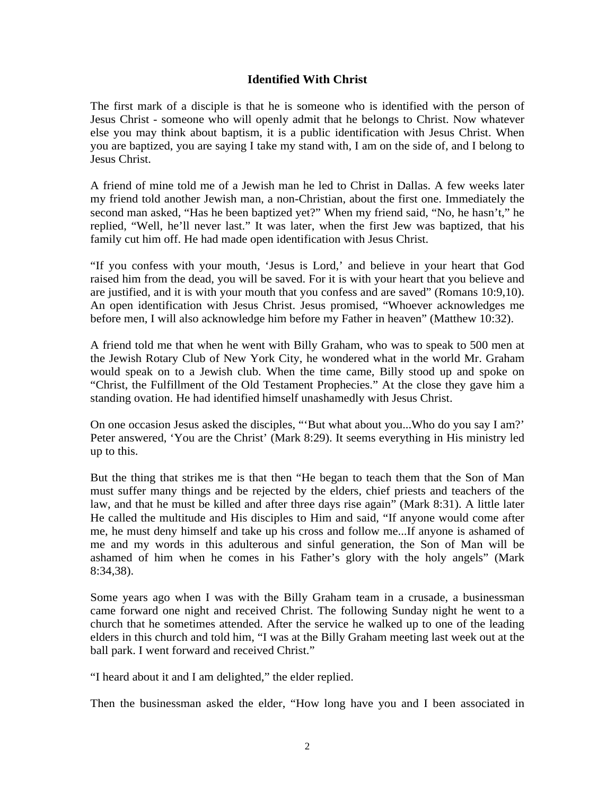## **Identified With Christ**

The first mark of a disciple is that he is someone who is identified with the person of Jesus Christ - someone who will openly admit that he belongs to Christ. Now whatever else you may think about baptism, it is a public identification with Jesus Christ. When you are baptized, you are saying I take my stand with, I am on the side of, and I belong to Jesus Christ.

A friend of mine told me of a Jewish man he led to Christ in Dallas. A few weeks later my friend told another Jewish man, a non-Christian, about the first one. Immediately the second man asked, "Has he been baptized yet?" When my friend said, "No, he hasn't," he replied, "Well, he'll never last." It was later, when the first Jew was baptized, that his family cut him off. He had made open identification with Jesus Christ.

"If you confess with your mouth, 'Jesus is Lord,' and believe in your heart that God raised him from the dead, you will be saved. For it is with your heart that you believe and are justified, and it is with your mouth that you confess and are saved" (Romans 10:9,10). An open identification with Jesus Christ. Jesus promised, "Whoever acknowledges me before men, I will also acknowledge him before my Father in heaven" (Matthew 10:32).

A friend told me that when he went with Billy Graham, who was to speak to 500 men at the Jewish Rotary Club of New York City, he wondered what in the world Mr. Graham would speak on to a Jewish club. When the time came, Billy stood up and spoke on "Christ, the Fulfillment of the Old Testament Prophecies." At the close they gave him a standing ovation. He had identified himself unashamedly with Jesus Christ.

On one occasion Jesus asked the disciples, "'But what about you...Who do you say I am?' Peter answered, 'You are the Christ' (Mark 8:29). It seems everything in His ministry led up to this.

But the thing that strikes me is that then "He began to teach them that the Son of Man must suffer many things and be rejected by the elders, chief priests and teachers of the law, and that he must be killed and after three days rise again" (Mark 8:31). A little later He called the multitude and His disciples to Him and said, "If anyone would come after me, he must deny himself and take up his cross and follow me...If anyone is ashamed of me and my words in this adulterous and sinful generation, the Son of Man will be ashamed of him when he comes in his Father's glory with the holy angels" (Mark 8:34,38).

Some years ago when I was with the Billy Graham team in a crusade, a businessman came forward one night and received Christ. The following Sunday night he went to a church that he sometimes attended. After the service he walked up to one of the leading elders in this church and told him, "I was at the Billy Graham meeting last week out at the ball park. I went forward and received Christ."

"I heard about it and I am delighted," the elder replied.

Then the businessman asked the elder, "How long have you and I been associated in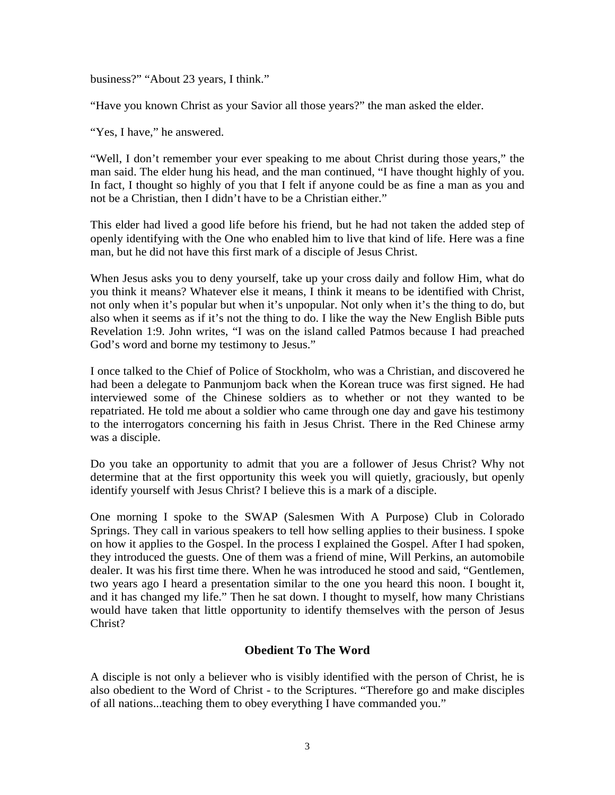business?" "About 23 years, I think."

"Have you known Christ as your Savior all those years?" the man asked the elder.

"Yes, I have," he answered.

"Well, I don't remember your ever speaking to me about Christ during those years," the man said. The elder hung his head, and the man continued, "I have thought highly of you. In fact, I thought so highly of you that I felt if anyone could be as fine a man as you and not be a Christian, then I didn't have to be a Christian either."

This elder had lived a good life before his friend, but he had not taken the added step of openly identifying with the One who enabled him to live that kind of life. Here was a fine man, but he did not have this first mark of a disciple of Jesus Christ.

When Jesus asks you to deny yourself, take up your cross daily and follow Him, what do you think it means? Whatever else it means, I think it means to be identified with Christ, not only when it's popular but when it's unpopular. Not only when it's the thing to do, but also when it seems as if it's not the thing to do. I like the way the New English Bible puts Revelation 1:9. John writes, "I was on the island called Patmos because I had preached God's word and borne my testimony to Jesus."

I once talked to the Chief of Police of Stockholm, who was a Christian, and discovered he had been a delegate to Panmunjom back when the Korean truce was first signed. He had interviewed some of the Chinese soldiers as to whether or not they wanted to be repatriated. He told me about a soldier who came through one day and gave his testimony to the interrogators concerning his faith in Jesus Christ. There in the Red Chinese army was a disciple.

Do you take an opportunity to admit that you are a follower of Jesus Christ? Why not determine that at the first opportunity this week you will quietly, graciously, but openly identify yourself with Jesus Christ? I believe this is a mark of a disciple.

One morning I spoke to the SWAP (Salesmen With A Purpose) Club in Colorado Springs. They call in various speakers to tell how selling applies to their business. I spoke on how it applies to the Gospel. In the process I explained the Gospel. After I had spoken, they introduced the guests. One of them was a friend of mine, Will Perkins, an automobile dealer. It was his first time there. When he was introduced he stood and said, "Gentlemen, two years ago I heard a presentation similar to the one you heard this noon. I bought it, and it has changed my life." Then he sat down. I thought to myself, how many Christians would have taken that little opportunity to identify themselves with the person of Jesus Christ?

### **Obedient To The Word**

A disciple is not only a believer who is visibly identified with the person of Christ, he is also obedient to the Word of Christ - to the Scriptures. "Therefore go and make disciples of all nations...teaching them to obey everything I have commanded you."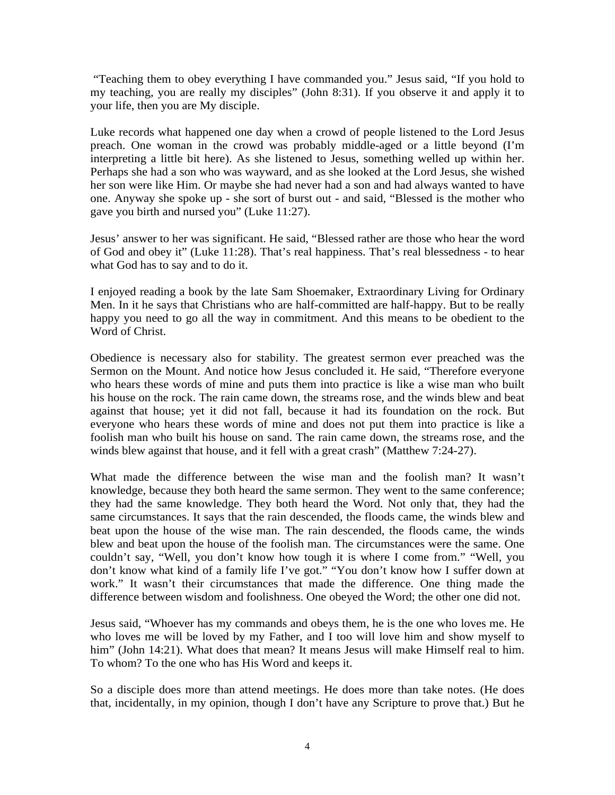"Teaching them to obey everything I have commanded you." Jesus said, "If you hold to my teaching, you are really my disciples" (John 8:31). If you observe it and apply it to your life, then you are My disciple.

Luke records what happened one day when a crowd of people listened to the Lord Jesus preach. One woman in the crowd was probably middle-aged or a little beyond (I'm interpreting a little bit here). As she listened to Jesus, something welled up within her. Perhaps she had a son who was wayward, and as she looked at the Lord Jesus, she wished her son were like Him. Or maybe she had never had a son and had always wanted to have one. Anyway she spoke up - she sort of burst out - and said, "Blessed is the mother who gave you birth and nursed you" (Luke 11:27).

Jesus' answer to her was significant. He said, "Blessed rather are those who hear the word of God and obey it" (Luke 11:28). That's real happiness. That's real blessedness - to hear what God has to say and to do it.

I enjoyed reading a book by the late Sam Shoemaker, Extraordinary Living for Ordinary Men. In it he says that Christians who are half-committed are half-happy. But to be really happy you need to go all the way in commitment. And this means to be obedient to the Word of Christ.

Obedience is necessary also for stability. The greatest sermon ever preached was the Sermon on the Mount. And notice how Jesus concluded it. He said, "Therefore everyone who hears these words of mine and puts them into practice is like a wise man who built his house on the rock. The rain came down, the streams rose, and the winds blew and beat against that house; yet it did not fall, because it had its foundation on the rock. But everyone who hears these words of mine and does not put them into practice is like a foolish man who built his house on sand. The rain came down, the streams rose, and the winds blew against that house, and it fell with a great crash" (Matthew 7:24-27).

What made the difference between the wise man and the foolish man? It wasn't knowledge, because they both heard the same sermon. They went to the same conference; they had the same knowledge. They both heard the Word. Not only that, they had the same circumstances. It says that the rain descended, the floods came, the winds blew and beat upon the house of the wise man. The rain descended, the floods came, the winds blew and beat upon the house of the foolish man. The circumstances were the same. One couldn't say, "Well, you don't know how tough it is where I come from." "Well, you don't know what kind of a family life I've got." "You don't know how I suffer down at work." It wasn't their circumstances that made the difference. One thing made the difference between wisdom and foolishness. One obeyed the Word; the other one did not.

Jesus said, "Whoever has my commands and obeys them, he is the one who loves me. He who loves me will be loved by my Father, and I too will love him and show myself to him" (John 14:21). What does that mean? It means Jesus will make Himself real to him. To whom? To the one who has His Word and keeps it.

So a disciple does more than attend meetings. He does more than take notes. (He does that, incidentally, in my opinion, though I don't have any Scripture to prove that.) But he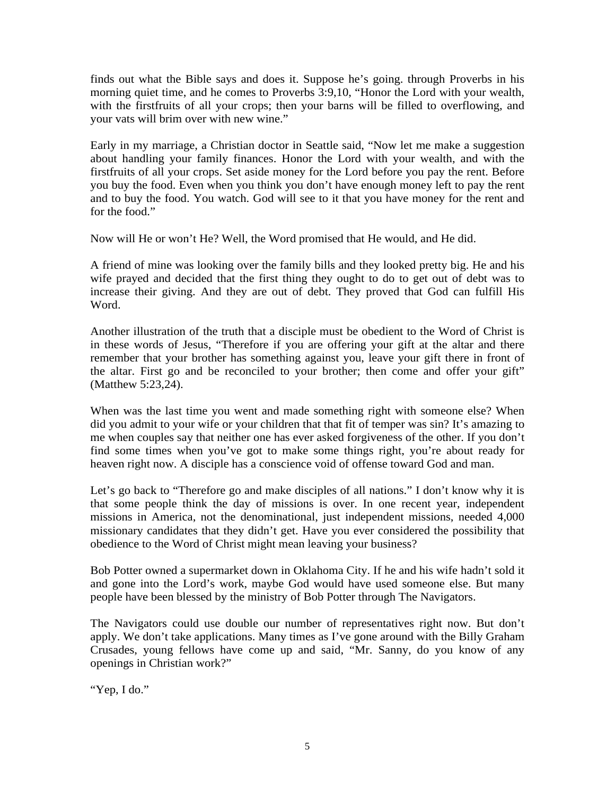finds out what the Bible says and does it. Suppose he's going. through Proverbs in his morning quiet time, and he comes to Proverbs 3:9,10, "Honor the Lord with your wealth, with the firstfruits of all your crops; then your barns will be filled to overflowing, and your vats will brim over with new wine."

Early in my marriage, a Christian doctor in Seattle said, "Now let me make a suggestion about handling your family finances. Honor the Lord with your wealth, and with the firstfruits of all your crops. Set aside money for the Lord before you pay the rent. Before you buy the food. Even when you think you don't have enough money left to pay the rent and to buy the food. You watch. God will see to it that you have money for the rent and for the food."

Now will He or won't He? Well, the Word promised that He would, and He did.

A friend of mine was looking over the family bills and they looked pretty big. He and his wife prayed and decided that the first thing they ought to do to get out of debt was to increase their giving. And they are out of debt. They proved that God can fulfill His Word.

Another illustration of the truth that a disciple must be obedient to the Word of Christ is in these words of Jesus, "Therefore if you are offering your gift at the altar and there remember that your brother has something against you, leave your gift there in front of the altar. First go and be reconciled to your brother; then come and offer your gift" (Matthew 5:23,24).

When was the last time you went and made something right with someone else? When did you admit to your wife or your children that that fit of temper was sin? It's amazing to me when couples say that neither one has ever asked forgiveness of the other. If you don't find some times when you've got to make some things right, you're about ready for heaven right now. A disciple has a conscience void of offense toward God and man.

Let's go back to "Therefore go and make disciples of all nations." I don't know why it is that some people think the day of missions is over. In one recent year, independent missions in America, not the denominational, just independent missions, needed 4,000 missionary candidates that they didn't get. Have you ever considered the possibility that obedience to the Word of Christ might mean leaving your business?

Bob Potter owned a supermarket down in Oklahoma City. If he and his wife hadn't sold it and gone into the Lord's work, maybe God would have used someone else. But many people have been blessed by the ministry of Bob Potter through The Navigators.

The Navigators could use double our number of representatives right now. But don't apply. We don't take applications. Many times as I've gone around with the Billy Graham Crusades, young fellows have come up and said, "Mr. Sanny, do you know of any openings in Christian work?"

"Yep, I do."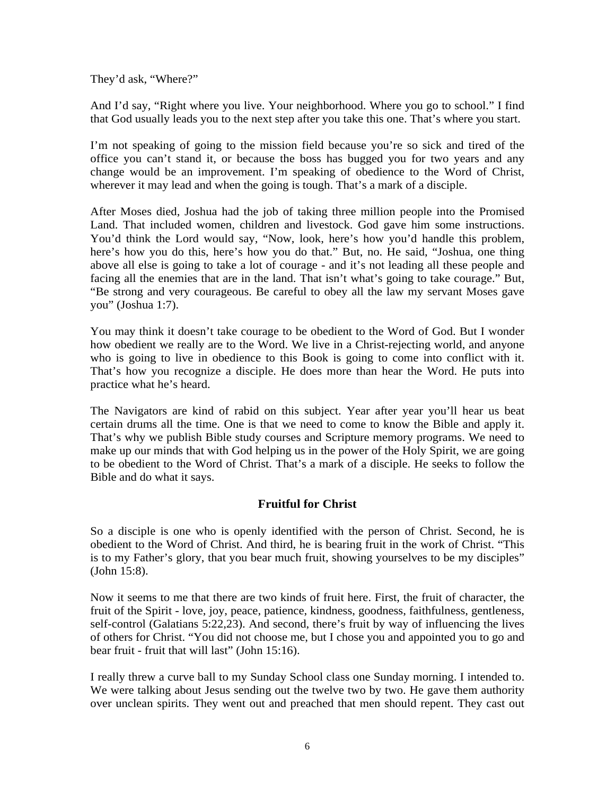They'd ask, "Where?"

And I'd say, "Right where you live. Your neighborhood. Where you go to school." I find that God usually leads you to the next step after you take this one. That's where you start.

I'm not speaking of going to the mission field because you're so sick and tired of the office you can't stand it, or because the boss has bugged you for two years and any change would be an improvement. I'm speaking of obedience to the Word of Christ, wherever it may lead and when the going is tough. That's a mark of a disciple.

After Moses died, Joshua had the job of taking three million people into the Promised Land. That included women, children and livestock. God gave him some instructions. You'd think the Lord would say, "Now, look, here's how you'd handle this problem, here's how you do this, here's how you do that." But, no. He said, "Joshua, one thing above all else is going to take a lot of courage - and it's not leading all these people and facing all the enemies that are in the land. That isn't what's going to take courage." But, "Be strong and very courageous. Be careful to obey all the law my servant Moses gave you" (Joshua 1:7).

You may think it doesn't take courage to be obedient to the Word of God. But I wonder how obedient we really are to the Word. We live in a Christ-rejecting world, and anyone who is going to live in obedience to this Book is going to come into conflict with it. That's how you recognize a disciple. He does more than hear the Word. He puts into practice what he's heard.

The Navigators are kind of rabid on this subject. Year after year you'll hear us beat certain drums all the time. One is that we need to come to know the Bible and apply it. That's why we publish Bible study courses and Scripture memory programs. We need to make up our minds that with God helping us in the power of the Holy Spirit, we are going to be obedient to the Word of Christ. That's a mark of a disciple. He seeks to follow the Bible and do what it says.

### **Fruitful for Christ**

So a disciple is one who is openly identified with the person of Christ. Second, he is obedient to the Word of Christ. And third, he is bearing fruit in the work of Christ. "This is to my Father's glory, that you bear much fruit, showing yourselves to be my disciples" (John 15:8).

Now it seems to me that there are two kinds of fruit here. First, the fruit of character, the fruit of the Spirit - love, joy, peace, patience, kindness, goodness, faithfulness, gentleness, self-control (Galatians 5:22,23). And second, there's fruit by way of influencing the lives of others for Christ. "You did not choose me, but I chose you and appointed you to go and bear fruit - fruit that will last" (John 15:16).

I really threw a curve ball to my Sunday School class one Sunday morning. I intended to. We were talking about Jesus sending out the twelve two by two. He gave them authority over unclean spirits. They went out and preached that men should repent. They cast out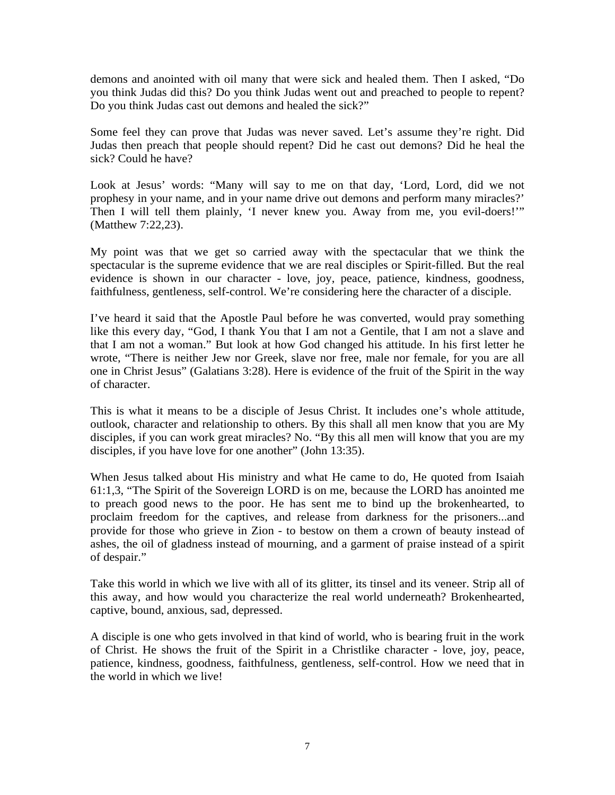demons and anointed with oil many that were sick and healed them. Then I asked, "Do you think Judas did this? Do you think Judas went out and preached to people to repent? Do you think Judas cast out demons and healed the sick?"

Some feel they can prove that Judas was never saved. Let's assume they're right. Did Judas then preach that people should repent? Did he cast out demons? Did he heal the sick? Could he have?

Look at Jesus' words: "Many will say to me on that day, 'Lord, Lord, did we not prophesy in your name, and in your name drive out demons and perform many miracles?' Then I will tell them plainly, 'I never knew you. Away from me, you evil-doers!'" (Matthew 7:22,23).

My point was that we get so carried away with the spectacular that we think the spectacular is the supreme evidence that we are real disciples or Spirit-filled. But the real evidence is shown in our character - love, joy, peace, patience, kindness, goodness, faithfulness, gentleness, self-control. We're considering here the character of a disciple.

I've heard it said that the Apostle Paul before he was converted, would pray something like this every day, "God, I thank You that I am not a Gentile, that I am not a slave and that I am not a woman." But look at how God changed his attitude. In his first letter he wrote, "There is neither Jew nor Greek, slave nor free, male nor female, for you are all one in Christ Jesus" (Galatians 3:28). Here is evidence of the fruit of the Spirit in the way of character.

This is what it means to be a disciple of Jesus Christ. It includes one's whole attitude, outlook, character and relationship to others. By this shall all men know that you are My disciples, if you can work great miracles? No. "By this all men will know that you are my disciples, if you have love for one another" (John 13:35).

When Jesus talked about His ministry and what He came to do, He quoted from Isaiah 61:1,3, "The Spirit of the Sovereign LORD is on me, because the LORD has anointed me to preach good news to the poor. He has sent me to bind up the brokenhearted, to proclaim freedom for the captives, and release from darkness for the prisoners...and provide for those who grieve in Zion - to bestow on them a crown of beauty instead of ashes, the oil of gladness instead of mourning, and a garment of praise instead of a spirit of despair."

Take this world in which we live with all of its glitter, its tinsel and its veneer. Strip all of this away, and how would you characterize the real world underneath? Brokenhearted, captive, bound, anxious, sad, depressed.

A disciple is one who gets involved in that kind of world, who is bearing fruit in the work of Christ. He shows the fruit of the Spirit in a Christlike character - love, joy, peace, patience, kindness, goodness, faithfulness, gentleness, self-control. How we need that in the world in which we live!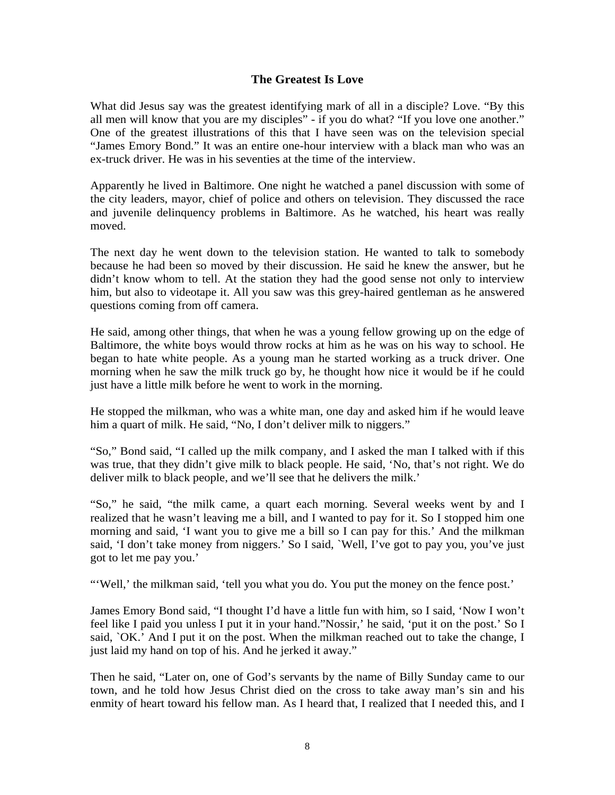#### **The Greatest Is Love**

What did Jesus say was the greatest identifying mark of all in a disciple? Love. "By this all men will know that you are my disciples" - if you do what? "If you love one another." One of the greatest illustrations of this that I have seen was on the television special "James Emory Bond." It was an entire one-hour interview with a black man who was an ex-truck driver. He was in his seventies at the time of the interview.

Apparently he lived in Baltimore. One night he watched a panel discussion with some of the city leaders, mayor, chief of police and others on television. They discussed the race and juvenile delinquency problems in Baltimore. As he watched, his heart was really moved.

The next day he went down to the television station. He wanted to talk to somebody because he had been so moved by their discussion. He said he knew the answer, but he didn't know whom to tell. At the station they had the good sense not only to interview him, but also to videotape it. All you saw was this grey-haired gentleman as he answered questions coming from off camera.

He said, among other things, that when he was a young fellow growing up on the edge of Baltimore, the white boys would throw rocks at him as he was on his way to school. He began to hate white people. As a young man he started working as a truck driver. One morning when he saw the milk truck go by, he thought how nice it would be if he could just have a little milk before he went to work in the morning.

He stopped the milkman, who was a white man, one day and asked him if he would leave him a quart of milk. He said, "No, I don't deliver milk to niggers."

"So," Bond said, "I called up the milk company, and I asked the man I talked with if this was true, that they didn't give milk to black people. He said, 'No, that's not right. We do deliver milk to black people, and we'll see that he delivers the milk.'

"So," he said, "the milk came, a quart each morning. Several weeks went by and I realized that he wasn't leaving me a bill, and I wanted to pay for it. So I stopped him one morning and said, 'I want you to give me a bill so I can pay for this.' And the milkman said, 'I don't take money from niggers.' So I said, `Well, I've got to pay you, you've just got to let me pay you.'

"'Well,' the milkman said, 'tell you what you do. You put the money on the fence post.'

James Emory Bond said, "I thought I'd have a little fun with him, so I said, 'Now I won't feel like I paid you unless I put it in your hand."Nossir,' he said, 'put it on the post.' So I said, `OK.' And I put it on the post. When the milkman reached out to take the change, I just laid my hand on top of his. And he jerked it away."

Then he said, "Later on, one of God's servants by the name of Billy Sunday came to our town, and he told how Jesus Christ died on the cross to take away man's sin and his enmity of heart toward his fellow man. As I heard that, I realized that I needed this, and I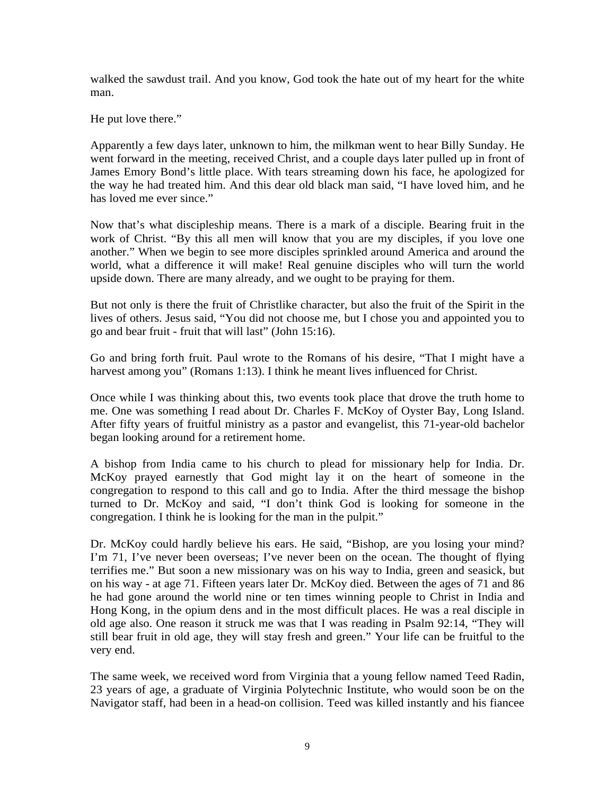walked the sawdust trail. And you know, God took the hate out of my heart for the white man.

He put love there."

Apparently a few days later, unknown to him, the milkman went to hear Billy Sunday. He went forward in the meeting, received Christ, and a couple days later pulled up in front of James Emory Bond's little place. With tears streaming down his face, he apologized for the way he had treated him. And this dear old black man said, "I have loved him, and he has loved me ever since."

Now that's what discipleship means. There is a mark of a disciple. Bearing fruit in the work of Christ. "By this all men will know that you are my disciples, if you love one another." When we begin to see more disciples sprinkled around America and around the world, what a difference it will make! Real genuine disciples who will turn the world upside down. There are many already, and we ought to be praying for them.

But not only is there the fruit of Christlike character, but also the fruit of the Spirit in the lives of others. Jesus said, "You did not choose me, but I chose you and appointed you to go and bear fruit - fruit that will last" (John 15:16).

Go and bring forth fruit. Paul wrote to the Romans of his desire, "That I might have a harvest among you" (Romans 1:13). I think he meant lives influenced for Christ.

Once while I was thinking about this, two events took place that drove the truth home to me. One was something I read about Dr. Charles F. McKoy of Oyster Bay, Long Island. After fifty years of fruitful ministry as a pastor and evangelist, this 71-year-old bachelor began looking around for a retirement home.

A bishop from India came to his church to plead for missionary help for India. Dr. McKoy prayed earnestly that God might lay it on the heart of someone in the congregation to respond to this call and go to India. After the third message the bishop turned to Dr. McKoy and said, "I don't think God is looking for someone in the congregation. I think he is looking for the man in the pulpit."

Dr. McKoy could hardly believe his ears. He said, "Bishop, are you losing your mind? I'm 71, I've never been overseas; I've never been on the ocean. The thought of flying terrifies me." But soon a new missionary was on his way to India, green and seasick, but on his way - at age 71. Fifteen years later Dr. McKoy died. Between the ages of 71 and 86 he had gone around the world nine or ten times winning people to Christ in India and Hong Kong, in the opium dens and in the most difficult places. He was a real disciple in old age also. One reason it struck me was that I was reading in Psalm 92:14, "They will still bear fruit in old age, they will stay fresh and green." Your life can be fruitful to the very end.

The same week, we received word from Virginia that a young fellow named Teed Radin, 23 years of age, a graduate of Virginia Polytechnic Institute, who would soon be on the Navigator staff, had been in a head-on collision. Teed was killed instantly and his fiancee